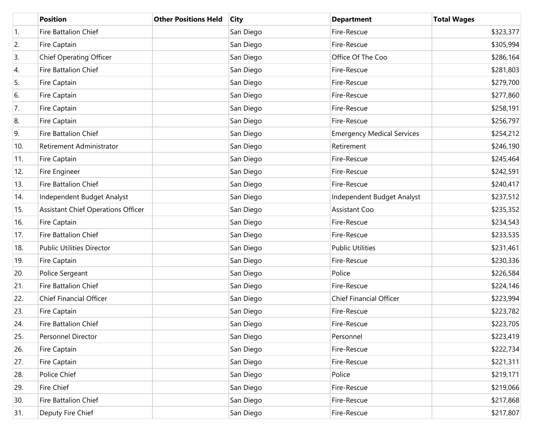|     | <b>Position</b>                           | <b>Other Positions Held</b> | <b>City</b> | <b>Department</b>                 | <b>Total Wages</b> |
|-----|-------------------------------------------|-----------------------------|-------------|-----------------------------------|--------------------|
| 1.  | Fire Battalion Chief                      |                             | San Diego   | Fire-Rescue                       | \$323,377          |
| 2.  | Fire Captain                              |                             | San Diego   | Fire-Rescue                       | \$305,994          |
| 3.  | <b>Chief Operating Officer</b>            |                             | San Diego   | Office Of The Coo                 | \$286,164          |
| 4.  | Fire Battalion Chief                      |                             | San Diego   | Fire-Rescue                       | \$281,803          |
| 5.  | Fire Captain                              |                             | San Diego   | Fire-Rescue                       | \$279,700          |
| 6.  | Fire Captain                              |                             | San Diego   | Fire-Rescue                       | \$277,860          |
| 7.  | Fire Captain                              |                             | San Diego   | Fire-Rescue                       | \$258,191          |
| 8.  | Fire Captain                              |                             | San Diego   | Fire-Rescue                       | \$256,797          |
| 9.  | Fire Battalion Chief                      |                             | San Diego   | <b>Emergency Medical Services</b> | \$254,212          |
| 10. | Retirement Administrator                  |                             | San Diego   | Retirement                        | \$246,190          |
| 11. | Fire Captain                              |                             | San Diego   | Fire-Rescue                       | \$245,464          |
| 12. | Fire Engineer                             |                             | San Diego   | Fire-Rescue                       | \$242,591          |
| 13. | Fire Battalion Chief                      |                             | San Diego   | Fire-Rescue                       | \$240,417          |
| 14. | Independent Budget Analyst                |                             | San Diego   | Independent Budget Analyst        | \$237,512          |
| 15. | <b>Assistant Chief Operations Officer</b> |                             | San Diego   | <b>Assistant Coo</b>              | \$235,352          |
| 16. | Fire Captain                              |                             | San Diego   | Fire-Rescue                       | \$234,543          |
| 17. | Fire Battalion Chief                      |                             | San Diego   | Fire-Rescue                       | \$233,535          |
| 18. | <b>Public Utilities Director</b>          |                             | San Diego   | <b>Public Utilities</b>           | \$231,461          |
| 19. | Fire Captain                              |                             | San Diego   | Fire-Rescue                       | \$230,336          |
| 20. | Police Sergeant                           |                             | San Diego   | Police                            | \$226,584          |
| 21. | Fire Battalion Chief                      |                             | San Diego   | Fire-Rescue                       | \$224,146          |
| 22. | <b>Chief Financial Officer</b>            |                             | San Diego   | <b>Chief Financial Officer</b>    | \$223,994          |
| 23. | Fire Captain                              |                             | San Diego   | Fire-Rescue                       | \$223,782          |
| 24. | <b>Fire Battalion Chief</b>               |                             | San Diego   | Fire-Rescue                       | \$223,705          |
| 25. | Personnel Director                        |                             | San Diego   | Personnel                         | \$223,419          |
| 26. | Fire Captain                              |                             | San Diego   | Fire-Rescue                       | \$222,734          |
| 27. | Fire Captain                              |                             | San Diego   | Fire-Rescue                       | \$221,311          |
| 28. | Police Chief                              |                             | San Diego   | Police                            | \$219,171          |
| 29. | Fire Chief                                |                             | San Diego   | Fire-Rescue                       | \$219,066          |
| 30. | Fire Battalion Chief                      |                             | San Diego   | Fire-Rescue                       | \$217,868          |
| 31. | Deputy Fire Chief                         |                             | San Diego   | Fire-Rescue                       | \$217,807          |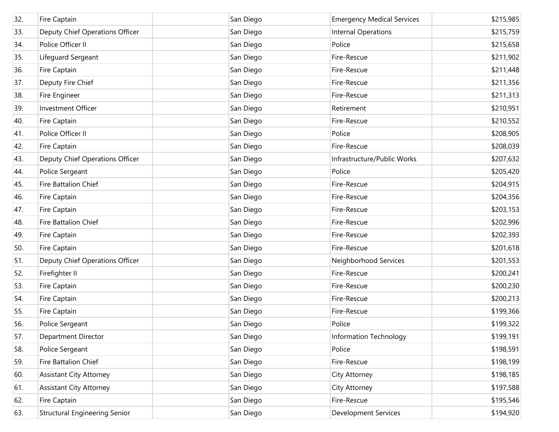| 32. | Fire Captain                         | San Diego | <b>Emergency Medical Services</b> | \$215,985 |
|-----|--------------------------------------|-----------|-----------------------------------|-----------|
| 33. | Deputy Chief Operations Officer      | San Diego | Internal Operations               | \$215,759 |
| 34. | Police Officer II                    | San Diego | Police                            | \$215,658 |
| 35. | Lifeguard Sergeant                   | San Diego | Fire-Rescue                       | \$211,902 |
| 36. | Fire Captain                         | San Diego | Fire-Rescue                       | \$211,448 |
| 37. | Deputy Fire Chief                    | San Diego | Fire-Rescue                       | \$211,356 |
| 38. | Fire Engineer                        | San Diego | Fire-Rescue                       | \$211,313 |
| 39. | <b>Investment Officer</b>            | San Diego | Retirement                        | \$210,951 |
| 40. | Fire Captain                         | San Diego | Fire-Rescue                       | \$210,552 |
| 41. | Police Officer II                    | San Diego | Police                            | \$208,905 |
| 42. | Fire Captain                         | San Diego | Fire-Rescue                       | \$208,039 |
| 43. | Deputy Chief Operations Officer      | San Diego | Infrastructure/Public Works       | \$207,632 |
| 44. | Police Sergeant                      | San Diego | Police                            | \$205,420 |
| 45. | Fire Battalion Chief                 | San Diego | Fire-Rescue                       | \$204,915 |
| 46. | Fire Captain                         | San Diego | Fire-Rescue                       | \$204,356 |
| 47. | Fire Captain                         | San Diego | Fire-Rescue                       | \$203,153 |
| 48. | Fire Battalion Chief                 | San Diego | Fire-Rescue                       | \$202,996 |
| 49. | Fire Captain                         | San Diego | Fire-Rescue                       | \$202,393 |
| 50. | Fire Captain                         | San Diego | Fire-Rescue                       | \$201,618 |
| 51. | Deputy Chief Operations Officer      | San Diego | Neighborhood Services             | \$201,553 |
| 52. | Firefighter II                       | San Diego | Fire-Rescue                       | \$200,241 |
| 53. | Fire Captain                         | San Diego | Fire-Rescue                       | \$200,230 |
| 54. | Fire Captain                         | San Diego | Fire-Rescue                       | \$200,213 |
| 55. | Fire Captain                         | San Diego | Fire-Rescue                       | \$199,366 |
| 56. | Police Sergeant                      | San Diego | Police                            | \$199,322 |
| 57. | <b>Department Director</b>           | San Diego | Information Technology            | \$199,191 |
| 58. | Police Sergeant                      | San Diego | Police                            | \$198,591 |
| 59. | Fire Battalion Chief                 | San Diego | Fire-Rescue                       | \$198,199 |
| 60. | <b>Assistant City Attorney</b>       | San Diego | City Attorney                     | \$198,185 |
| 61. | <b>Assistant City Attorney</b>       | San Diego | City Attorney                     | \$197,588 |
| 62. | Fire Captain                         | San Diego | Fire-Rescue                       | \$195,546 |
| 63. | <b>Structural Engineering Senior</b> | San Diego | <b>Development Services</b>       | \$194,920 |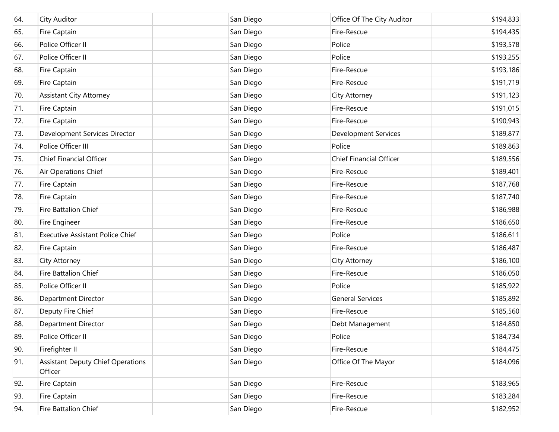| 64. | <b>City Auditor</b>                                 | San Diego | Office Of The City Auditor     | \$194,833 |
|-----|-----------------------------------------------------|-----------|--------------------------------|-----------|
| 65. | Fire Captain                                        | San Diego | Fire-Rescue                    | \$194,435 |
| 66. | Police Officer II                                   | San Diego | Police                         | \$193,578 |
| 67. | Police Officer II                                   | San Diego | Police                         | \$193,255 |
| 68. | Fire Captain                                        | San Diego | Fire-Rescue                    | \$193,186 |
| 69. | Fire Captain                                        | San Diego | Fire-Rescue                    | \$191,719 |
| 70. | <b>Assistant City Attorney</b>                      | San Diego | City Attorney                  | \$191,123 |
| 71. | Fire Captain                                        | San Diego | Fire-Rescue                    | \$191,015 |
| 72. | Fire Captain                                        | San Diego | Fire-Rescue                    | \$190,943 |
| 73. | Development Services Director                       | San Diego | <b>Development Services</b>    | \$189,877 |
| 74. | Police Officer III                                  | San Diego | Police                         | \$189,863 |
| 75. | <b>Chief Financial Officer</b>                      | San Diego | <b>Chief Financial Officer</b> | \$189,556 |
| 76. | Air Operations Chief                                | San Diego | Fire-Rescue                    | \$189,401 |
| 77. | Fire Captain                                        | San Diego | Fire-Rescue                    | \$187,768 |
| 78. | Fire Captain                                        | San Diego | Fire-Rescue                    | \$187,740 |
| 79. | Fire Battalion Chief                                | San Diego | Fire-Rescue                    | \$186,988 |
| 80. | Fire Engineer                                       | San Diego | Fire-Rescue                    | \$186,650 |
| 81. | <b>Executive Assistant Police Chief</b>             | San Diego | Police                         | \$186,611 |
| 82. | Fire Captain                                        | San Diego | Fire-Rescue                    | \$186,487 |
| 83. | City Attorney                                       | San Diego | City Attorney                  | \$186,100 |
| 84. | Fire Battalion Chief                                | San Diego | Fire-Rescue                    | \$186,050 |
| 85. | Police Officer II                                   | San Diego | Police                         | \$185,922 |
| 86. | Department Director                                 | San Diego | <b>General Services</b>        | \$185,892 |
| 87. | Deputy Fire Chief                                   | San Diego | Fire-Rescue                    | \$185,560 |
| 88. | <b>Department Director</b>                          | San Diego | Debt Management                | \$184,850 |
| 89. | Police Officer II                                   | San Diego | Police                         | \$184,734 |
| 90. | Firefighter II                                      | San Diego | Fire-Rescue                    | \$184,475 |
| 91. | <b>Assistant Deputy Chief Operations</b><br>Officer | San Diego | Office Of The Mayor            | \$184,096 |
| 92. | Fire Captain                                        | San Diego | Fire-Rescue                    | \$183,965 |
| 93. | Fire Captain                                        | San Diego | Fire-Rescue                    | \$183,284 |
| 94. | Fire Battalion Chief                                | San Diego | Fire-Rescue                    | \$182,952 |